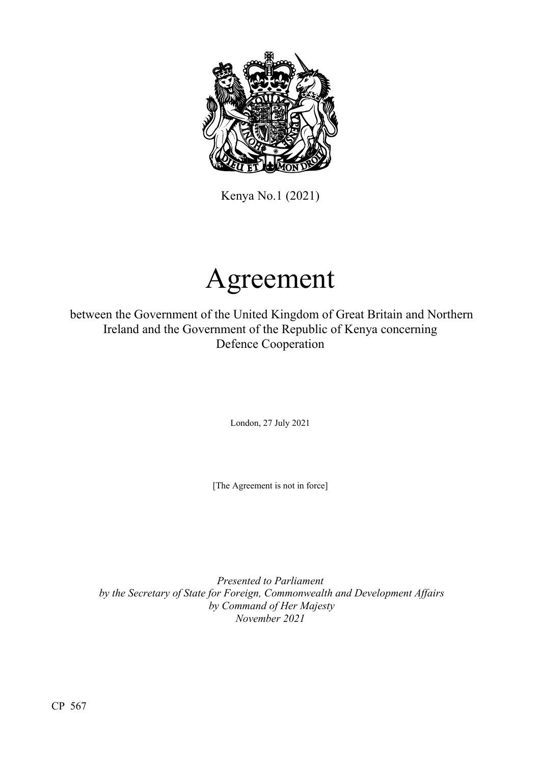

Kenya No.1 (2021)

# Agreement

between the Government of the United Kingdom of Great Britain and Northern Ireland and the Government of the Republic of Kenya concerning Defence Cooperation

London, 27 July 2021

[The Agreement is not in force]

*Presented to Parliament by the Secretary of State for Foreign, Commonwealth and Development Affairs by Command of Her Majesty November 2021*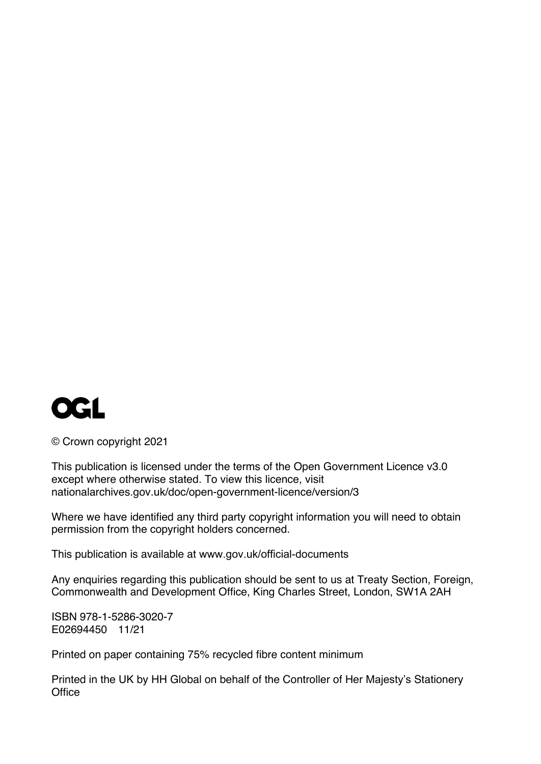

© Crown copyright 2021

This publication is licensed under the terms of the Open Government Licence v3.0 except where otherwise stated. To view this licence, visit [nationalarchives.gov.uk/doc/open-government-licence/version/3](http://www.nationalarchives.gov.uk/doc/open-government-licence/version/3)

Where we have identified any third party copyright information you will need to obtain permission from the copyright holders concerned.

This publication is available at [www.gov.uk/official-documents](http://www.gov.uk/official-documents)

Any enquiries regarding this publication should be sent to us at Treaty Section, Foreign, Commonwealth and Development Office, King Charles Street, London, SW1A 2AH

ISBN 978-1-5286-3020-7 E02694450 11/21

Printed on paper containing 75% recycled fibre content minimum

Printed in the UK by HH Global on behalf of the Controller of Her Majesty's Stationery **Office**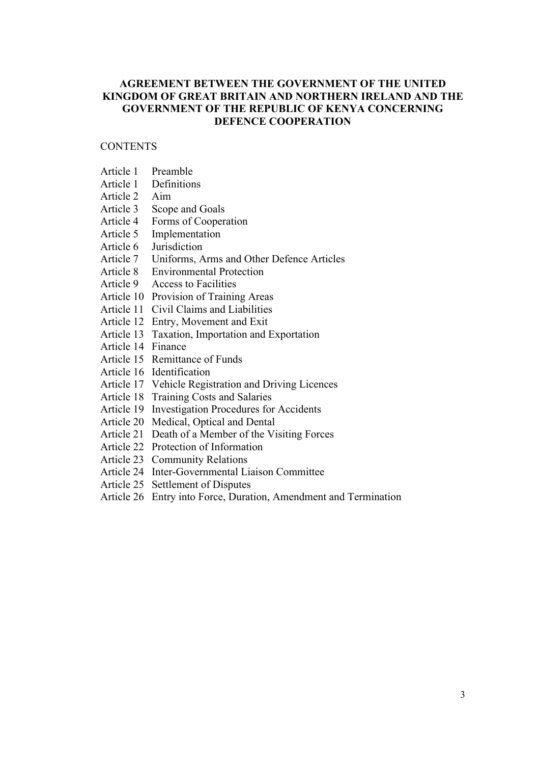# **AGREEMENT BETWEEN THE GOVERNMENT OF THE UNITED KINGDOM OF GREAT BRITAIN AND NORTHERN IRELAND AND THE GOVERNMENT OF THE REPUBLIC OF KENYA CONCERNING DEFENCE COOPERATION**

# **CONTENTS**

- Article 1 Preamble
- Article 1 Definitions
- Article 2 Aim
- Article 3 Scope and Goals
- Article 4 Forms of Cooperation
- Article 5 Implementation
- Article 6 Jurisdiction
- Article 7 Uniforms, Arms and Other Defence Articles
- Article 8 Environmental Protection
- Article 9 Access to Facilities
- Article 10 Provision of Training Areas
- Article 11 Civil Claims and Liabilities
- Article 12 Entry, Movement and Exit
- Article 13 Taxation, Importation and Exportation
- Article 14 Finance
- Article 15 Remittance of Funds
- Article 16 Identification
- Article 17 Vehicle Registration and Driving Licences
- Article 18 Training Costs and Salaries
- Article 19 Investigation Procedures for Accidents
- Article 20 Medical, Optical and Dental
- Article 21 Death of a Member of the Visiting Forces
- Article 22 Protection of Information
- Article 23 Community Relations
- Article 24 Inter-Governmental Liaison Committee
- Article 25 Settlement of Disputes
- Article 26 Entry into Force, Duration, Amendment and Termination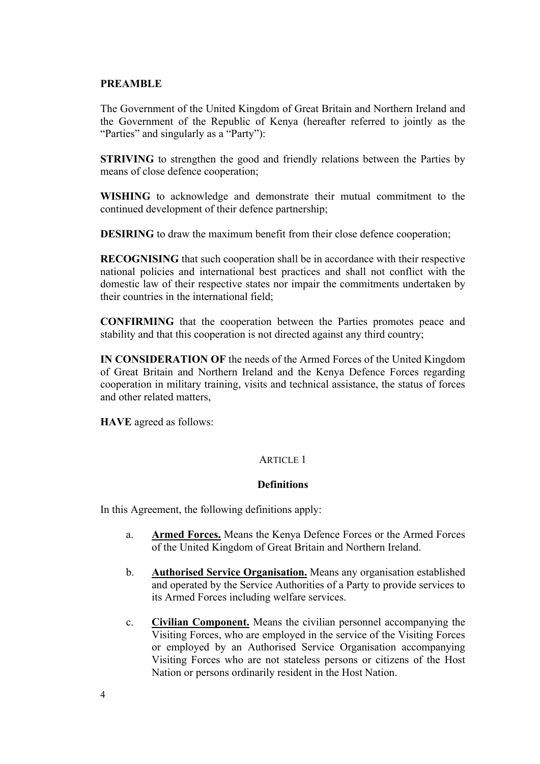### **PREAMBLE**

The Government of the United Kingdom of Great Britain and Northern Ireland and the Government of the Republic of Kenya (hereafter referred to jointly as the "Parties" and singularly as a "Party"):

**STRIVING** to strengthen the good and friendly relations between the Parties by means of close defence cooperation;

**WISHING** to acknowledge and demonstrate their mutual commitment to the continued development of their defence partnership;

**DESIRING** to draw the maximum benefit from their close defence cooperation;

**RECOGNISING** that such cooperation shall be in accordance with their respective national policies and international best practices and shall not conflict with the domestic law of their respective states nor impair the commitments undertaken by their countries in the international field;

**CONFIRMING** that the cooperation between the Parties promotes peace and stability and that this cooperation is not directed against any third country;

**IN CONSIDERATION OF** the needs of the Armed Forces of the United Kingdom of Great Britain and Northern Ireland and the Kenya Defence Forces regarding cooperation in military training, visits and technical assistance, the status of forces and other related matters,

**HAVE** agreed as follows:

# ARTICLE 1

#### **Definitions**

In this Agreement, the following definitions apply:

- a. **Armed Forces.** Means the Kenya Defence Forces or the Armed Forces of the United Kingdom of Great Britain and Northern Ireland.
- b. **Authorised Service Organisation.** Means any organisation established and operated by the Service Authorities of a Party to provide services to its Armed Forces including welfare services.
- c. **Civilian Component.** Means the civilian personnel accompanying the Visiting Forces, who are employed in the service of the Visiting Forces or employed by an Authorised Service Organisation accompanying Visiting Forces who are not stateless persons or citizens of the Host Nation or persons ordinarily resident in the Host Nation.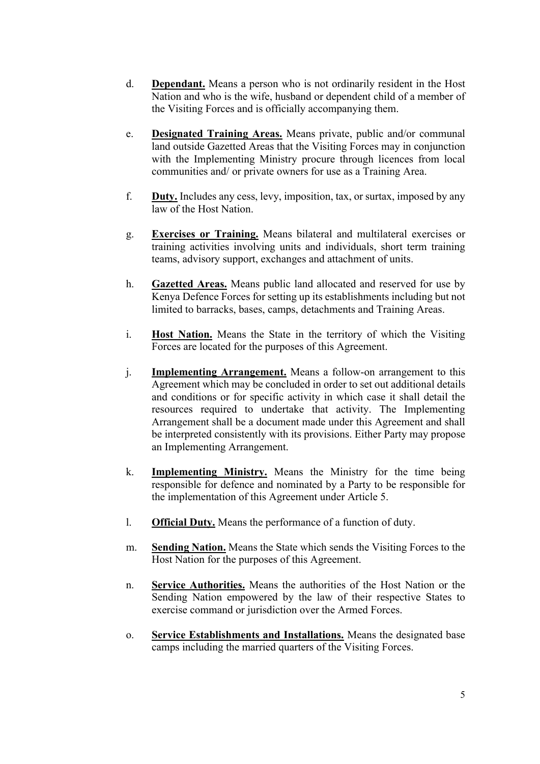- d. **Dependant.** Means a person who is not ordinarily resident in the Host Nation and who is the wife, husband or dependent child of a member of the Visiting Forces and is officially accompanying them.
- e. **Designated Training Areas.** Means private, public and/or communal land outside Gazetted Areas that the Visiting Forces may in conjunction with the Implementing Ministry procure through licences from local communities and/ or private owners for use as a Training Area.
- f. **Duty.** Includes any cess, levy, imposition, tax, or surtax, imposed by any law of the Host Nation.
- g. **Exercises or Training.** Means bilateral and multilateral exercises or training activities involving units and individuals, short term training teams, advisory support, exchanges and attachment of units.
- h. **Gazetted Areas.** Means public land allocated and reserved for use by Kenya Defence Forces for setting up its establishments including but not limited to barracks, bases, camps, detachments and Training Areas.
- i. **Host Nation.** Means the State in the territory of which the Visiting Forces are located for the purposes of this Agreement.
- j. **Implementing Arrangement.** Means a follow-on arrangement to this Agreement which may be concluded in order to set out additional details and conditions or for specific activity in which case it shall detail the resources required to undertake that activity. The Implementing Arrangement shall be a document made under this Agreement and shall be interpreted consistently with its provisions. Either Party may propose an Implementing Arrangement.
- k. **Implementing Ministry.** Means the Ministry for the time being responsible for defence and nominated by a Party to be responsible for the implementation of this Agreement under Article 5.
- l. **Official Duty.** Means the performance of a function of duty.
- m. **Sending Nation.** Means the State which sends the Visiting Forces to the Host Nation for the purposes of this Agreement.
- n. **Service Authorities.** Means the authorities of the Host Nation or the Sending Nation empowered by the law of their respective States to exercise command or jurisdiction over the Armed Forces.
- o. **Service Establishments and Installations.** Means the designated base camps including the married quarters of the Visiting Forces.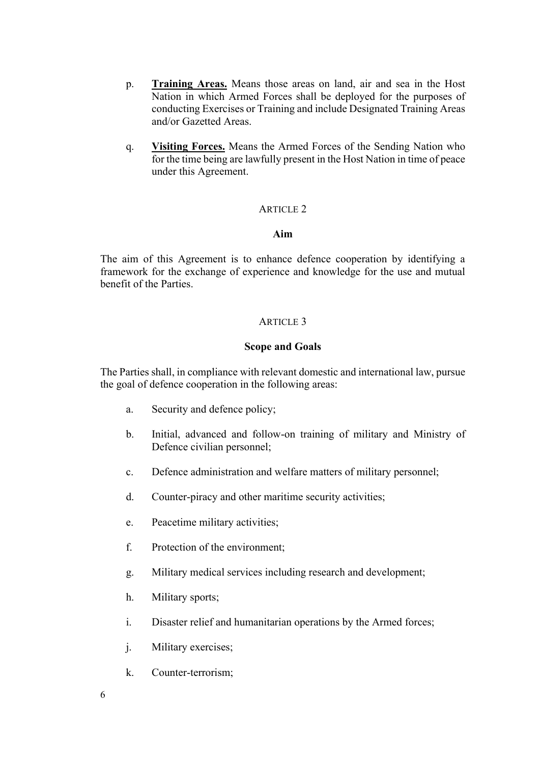- p. **Training Areas.** Means those areas on land, air and sea in the Host Nation in which Armed Forces shall be deployed for the purposes of conducting Exercises or Training and include Designated Training Areas and/or Gazetted Areas.
- q. **Visiting Forces.** Means the Armed Forces of the Sending Nation who for the time being are lawfully present in the Host Nation in time of peace under this Agreement.

# **Aim**

The aim of this Agreement is to enhance defence cooperation by identifying a framework for the exchange of experience and knowledge for the use and mutual benefit of the Parties.

#### ARTICLE<sub>3</sub>

#### **Scope and Goals**

The Parties shall, in compliance with relevant domestic and international law, pursue the goal of defence cooperation in the following areas:

- a. Security and defence policy;
- b. Initial, advanced and follow-on training of military and Ministry of Defence civilian personnel;
- c. Defence administration and welfare matters of military personnel;
- d. Counter-piracy and other maritime security activities;
- e. Peacetime military activities;
- f. Protection of the environment;
- g. Military medical services including research and development;
- h. Military sports;
- i. Disaster relief and humanitarian operations by the Armed forces;
- j. Military exercises;
- k. Counter-terrorism;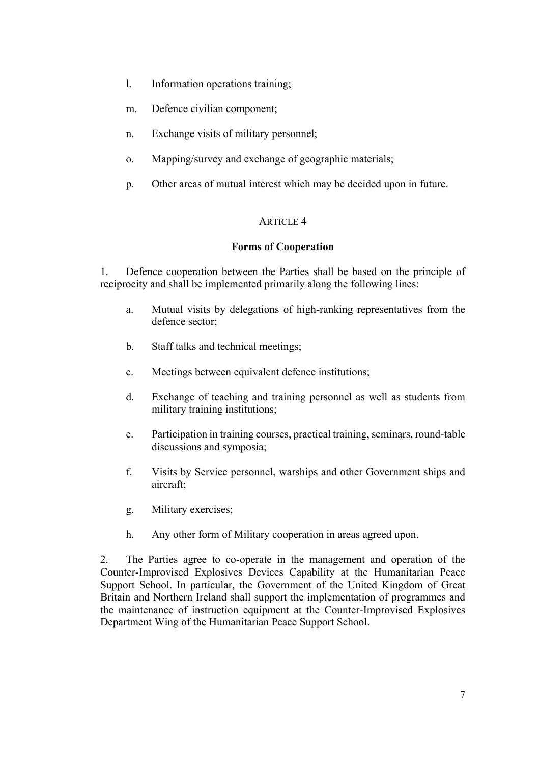- l. Information operations training;
- m. Defence civilian component;
- n. Exchange visits of military personnel;
- o. Mapping/survey and exchange of geographic materials;
- p. Other areas of mutual interest which may be decided upon in future.

# **Forms of Cooperation**

1. Defence cooperation between the Parties shall be based on the principle of reciprocity and shall be implemented primarily along the following lines:

- a. Mutual visits by delegations of high-ranking representatives from the defence sector;
- b. Staff talks and technical meetings;
- c. Meetings between equivalent defence institutions;
- d. Exchange of teaching and training personnel as well as students from military training institutions;
- e. Participation in training courses, practical training, seminars, round-table discussions and symposia;
- f. Visits by Service personnel, warships and other Government ships and aircraft;
- g. Military exercises;
- h. Any other form of Military cooperation in areas agreed upon.

2. The Parties agree to co-operate in the management and operation of the Counter-Improvised Explosives Devices Capability at the Humanitarian Peace Support School. In particular, the Government of the United Kingdom of Great Britain and Northern Ireland shall support the implementation of programmes and the maintenance of instruction equipment at the Counter-Improvised Explosives Department Wing of the Humanitarian Peace Support School.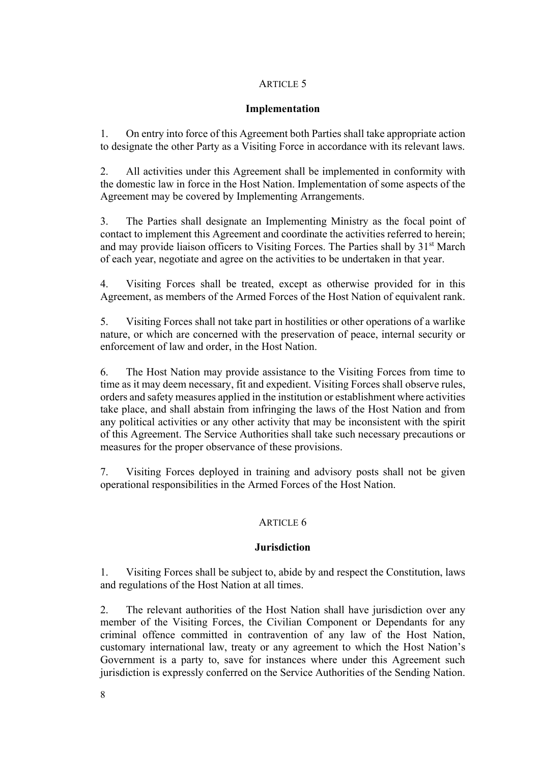# **Implementation**

1. On entry into force of this Agreement both Parties shall take appropriate action to designate the other Party as a Visiting Force in accordance with its relevant laws.

2. All activities under this Agreement shall be implemented in conformity with the domestic law in force in the Host Nation. Implementation of some aspects of the Agreement may be covered by Implementing Arrangements.

3. The Parties shall designate an Implementing Ministry as the focal point of contact to implement this Agreement and coordinate the activities referred to herein; and may provide liaison officers to Visiting Forces. The Parties shall by 31<sup>st</sup> March of each year, negotiate and agree on the activities to be undertaken in that year.

4. Visiting Forces shall be treated, except as otherwise provided for in this Agreement, as members of the Armed Forces of the Host Nation of equivalent rank.

5. Visiting Forces shall not take part in hostilities or other operations of a warlike nature, or which are concerned with the preservation of peace, internal security or enforcement of law and order, in the Host Nation.

6. The Host Nation may provide assistance to the Visiting Forces from time to time as it may deem necessary, fit and expedient. Visiting Forces shall observe rules, orders and safety measures applied in the institution or establishment where activities take place, and shall abstain from infringing the laws of the Host Nation and from any political activities or any other activity that may be inconsistent with the spirit of this Agreement. The Service Authorities shall take such necessary precautions or measures for the proper observance of these provisions.

7. Visiting Forces deployed in training and advisory posts shall not be given operational responsibilities in the Armed Forces of the Host Nation.

# ARTICLE 6

# **Jurisdiction**

1. Visiting Forces shall be subject to, abide by and respect the Constitution, laws and regulations of the Host Nation at all times.

2. The relevant authorities of the Host Nation shall have jurisdiction over any member of the Visiting Forces, the Civilian Component or Dependants for any criminal offence committed in contravention of any law of the Host Nation, customary international law, treaty or any agreement to which the Host Nation's Government is a party to, save for instances where under this Agreement such jurisdiction is expressly conferred on the Service Authorities of the Sending Nation.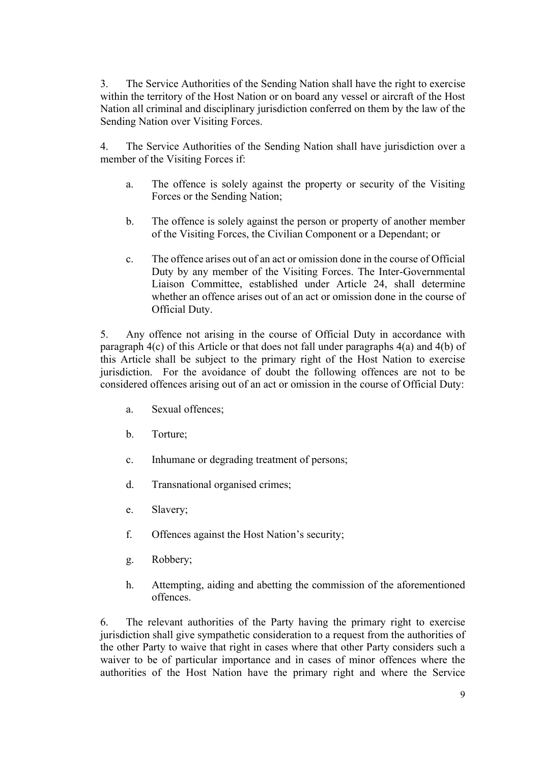3. The Service Authorities of the Sending Nation shall have the right to exercise within the territory of the Host Nation or on board any vessel or aircraft of the Host Nation all criminal and disciplinary jurisdiction conferred on them by the law of the Sending Nation over Visiting Forces.

4. The Service Authorities of the Sending Nation shall have jurisdiction over a member of the Visiting Forces if:

- a. The offence is solely against the property or security of the Visiting Forces or the Sending Nation;
- b. The offence is solely against the person or property of another member of the Visiting Forces, the Civilian Component or a Dependant; or
- c. The offence arises out of an act or omission done in the course of Official Duty by any member of the Visiting Forces. The Inter-Governmental Liaison Committee, established under Article 24, shall determine whether an offence arises out of an act or omission done in the course of Official Duty.

5. Any offence not arising in the course of Official Duty in accordance with paragraph 4(c) of this Article or that does not fall under paragraphs 4(a) and 4(b) of this Article shall be subject to the primary right of the Host Nation to exercise jurisdiction. For the avoidance of doubt the following offences are not to be considered offences arising out of an act or omission in the course of Official Duty:

- a. Sexual offences;
- b. Torture;
- c. Inhumane or degrading treatment of persons;
- d. Transnational organised crimes;
- e. Slavery;
- f. Offences against the Host Nation's security;
- g. Robbery;
- h. Attempting, aiding and abetting the commission of the aforementioned offences.

6. The relevant authorities of the Party having the primary right to exercise jurisdiction shall give sympathetic consideration to a request from the authorities of the other Party to waive that right in cases where that other Party considers such a waiver to be of particular importance and in cases of minor offences where the authorities of the Host Nation have the primary right and where the Service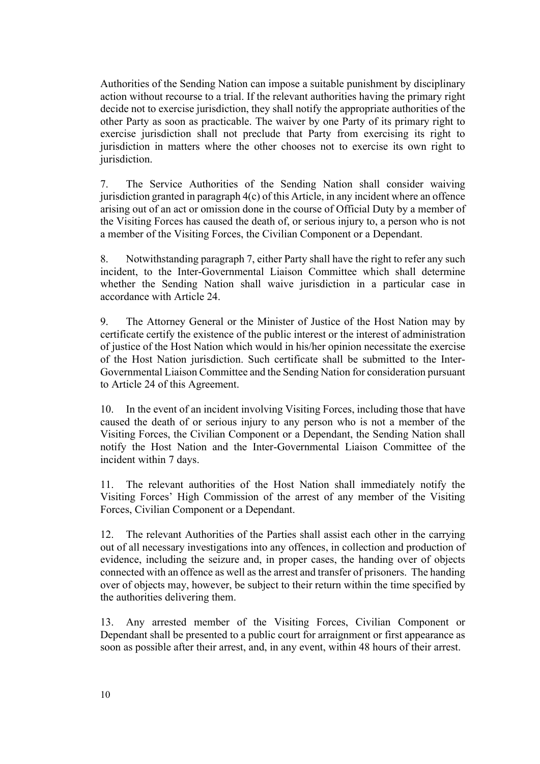Authorities of the Sending Nation can impose a suitable punishment by disciplinary action without recourse to a trial. If the relevant authorities having the primary right decide not to exercise jurisdiction, they shall notify the appropriate authorities of the other Party as soon as practicable. The waiver by one Party of its primary right to exercise jurisdiction shall not preclude that Party from exercising its right to jurisdiction in matters where the other chooses not to exercise its own right to jurisdiction.

7. The Service Authorities of the Sending Nation shall consider waiving jurisdiction granted in paragraph 4(c) of this Article, in any incident where an offence arising out of an act or omission done in the course of Official Duty by a member of the Visiting Forces has caused the death of, or serious injury to, a person who is not a member of the Visiting Forces, the Civilian Component or a Dependant.

8. Notwithstanding paragraph 7, either Party shall have the right to refer any such incident, to the Inter-Governmental Liaison Committee which shall determine whether the Sending Nation shall waive jurisdiction in a particular case in accordance with Article 24.

9. The Attorney General or the Minister of Justice of the Host Nation may by certificate certify the existence of the public interest or the interest of administration of justice of the Host Nation which would in his/her opinion necessitate the exercise of the Host Nation jurisdiction. Such certificate shall be submitted to the Inter-Governmental Liaison Committee and the Sending Nation for consideration pursuant to Article 24 of this Agreement.

10. In the event of an incident involving Visiting Forces, including those that have caused the death of or serious injury to any person who is not a member of the Visiting Forces, the Civilian Component or a Dependant, the Sending Nation shall notify the Host Nation and the Inter-Governmental Liaison Committee of the incident within 7 days.

11. The relevant authorities of the Host Nation shall immediately notify the Visiting Forces' High Commission of the arrest of any member of the Visiting Forces, Civilian Component or a Dependant.

12. The relevant Authorities of the Parties shall assist each other in the carrying out of all necessary investigations into any offences, in collection and production of evidence, including the seizure and, in proper cases, the handing over of objects connected with an offence as well as the arrest and transfer of prisoners. The handing over of objects may, however, be subject to their return within the time specified by the authorities delivering them.

13. Any arrested member of the Visiting Forces, Civilian Component or Dependant shall be presented to a public court for arraignment or first appearance as soon as possible after their arrest, and, in any event, within 48 hours of their arrest.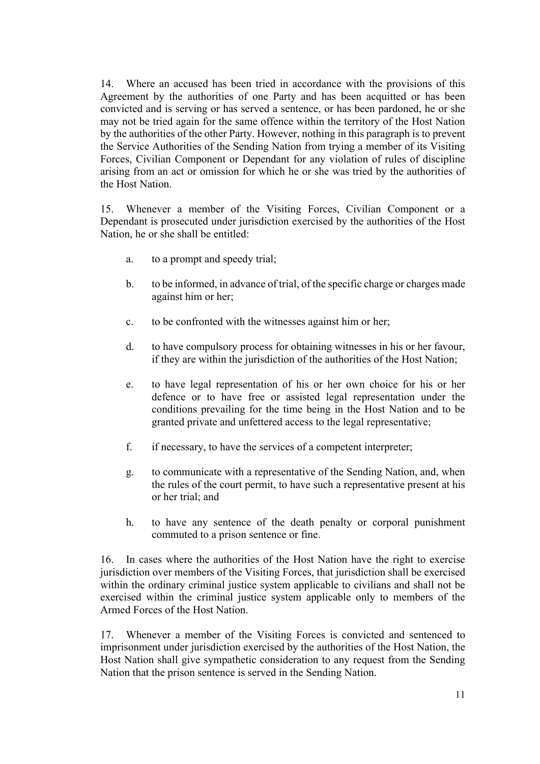14. Where an accused has been tried in accordance with the provisions of this Agreement by the authorities of one Party and has been acquitted or has been convicted and is serving or has served a sentence, or has been pardoned, he or she may not be tried again for the same offence within the territory of the Host Nation by the authorities of the other Party. However, nothing in this paragraph is to prevent the Service Authorities of the Sending Nation from trying a member of its Visiting Forces, Civilian Component or Dependant for any violation of rules of discipline arising from an act or omission for which he or she was tried by the authorities of the Host Nation.

15. Whenever a member of the Visiting Forces, Civilian Component or a Dependant is prosecuted under jurisdiction exercised by the authorities of the Host Nation, he or she shall be entitled:

- a. to a prompt and speedy trial;
- b. to be informed, in advance of trial, of the specific charge or charges made against him or her;
- c. to be confronted with the witnesses against him or her;
- d. to have compulsory process for obtaining witnesses in his or her favour, if they are within the jurisdiction of the authorities of the Host Nation;
- e. to have legal representation of his or her own choice for his or her defence or to have free or assisted legal representation under the conditions prevailing for the time being in the Host Nation and to be granted private and unfettered access to the legal representative;
- f. if necessary, to have the services of a competent interpreter;
- g. to communicate with a representative of the Sending Nation, and, when the rules of the court permit, to have such a representative present at his or her trial; and
- h. to have any sentence of the death penalty or corporal punishment commuted to a prison sentence or fine.

16. In cases where the authorities of the Host Nation have the right to exercise jurisdiction over members of the Visiting Forces, that jurisdiction shall be exercised within the ordinary criminal justice system applicable to civilians and shall not be exercised within the criminal justice system applicable only to members of the Armed Forces of the Host Nation.

17. Whenever a member of the Visiting Forces is convicted and sentenced to imprisonment under jurisdiction exercised by the authorities of the Host Nation, the Host Nation shall give sympathetic consideration to any request from the Sending Nation that the prison sentence is served in the Sending Nation.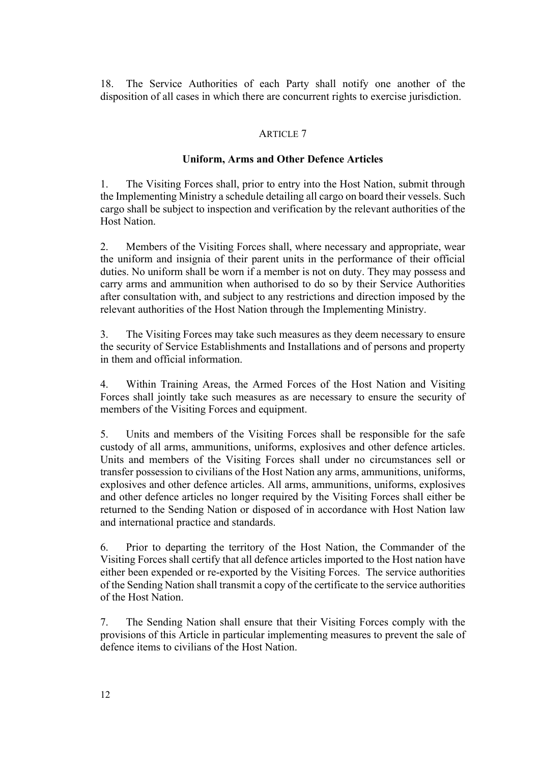18. The Service Authorities of each Party shall notify one another of the disposition of all cases in which there are concurrent rights to exercise jurisdiction.

# ARTICLE 7

### **Uniform, Arms and Other Defence Articles**

1. The Visiting Forces shall, prior to entry into the Host Nation, submit through the Implementing Ministry a schedule detailing all cargo on board their vessels. Such cargo shall be subject to inspection and verification by the relevant authorities of the Host Nation.

2. Members of the Visiting Forces shall, where necessary and appropriate, wear the uniform and insignia of their parent units in the performance of their official duties. No uniform shall be worn if a member is not on duty. They may possess and carry arms and ammunition when authorised to do so by their Service Authorities after consultation with, and subject to any restrictions and direction imposed by the relevant authorities of the Host Nation through the Implementing Ministry.

3. The Visiting Forces may take such measures as they deem necessary to ensure the security of Service Establishments and Installations and of persons and property in them and official information.

4. Within Training Areas, the Armed Forces of the Host Nation and Visiting Forces shall jointly take such measures as are necessary to ensure the security of members of the Visiting Forces and equipment.

5. Units and members of the Visiting Forces shall be responsible for the safe custody of all arms, ammunitions, uniforms, explosives and other defence articles. Units and members of the Visiting Forces shall under no circumstances sell or transfer possession to civilians of the Host Nation any arms, ammunitions, uniforms, explosives and other defence articles. All arms, ammunitions, uniforms, explosives and other defence articles no longer required by the Visiting Forces shall either be returned to the Sending Nation or disposed of in accordance with Host Nation law and international practice and standards.

6. Prior to departing the territory of the Host Nation, the Commander of the Visiting Forces shall certify that all defence articles imported to the Host nation have either been expended or re-exported by the Visiting Forces. The service authorities of the Sending Nation shall transmit a copy of the certificate to the service authorities of the Host Nation.

7. The Sending Nation shall ensure that their Visiting Forces comply with the provisions of this Article in particular implementing measures to prevent the sale of defence items to civilians of the Host Nation.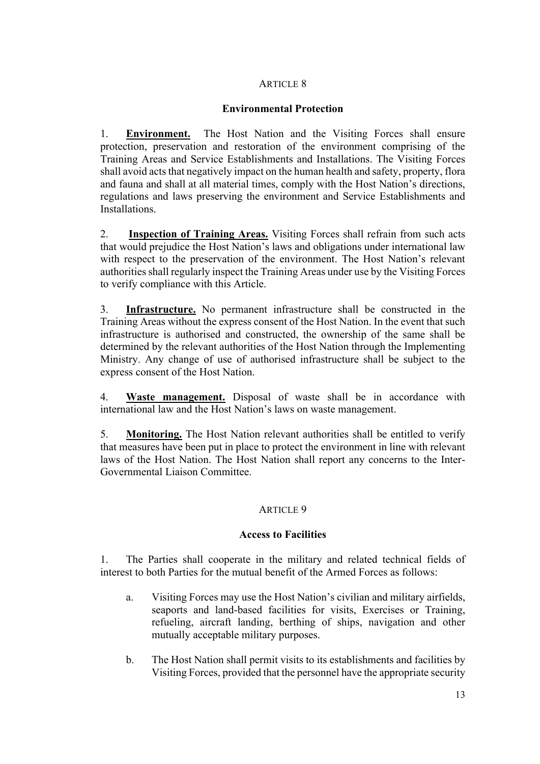# **Environmental Protection**

1. **Environment.** The Host Nation and the Visiting Forces shall ensure protection, preservation and restoration of the environment comprising of the Training Areas and Service Establishments and Installations. The Visiting Forces shall avoid acts that negatively impact on the human health and safety, property, flora and fauna and shall at all material times, comply with the Host Nation's directions, regulations and laws preserving the environment and Service Establishments and Installations.

2. **Inspection of Training Areas.** Visiting Forces shall refrain from such acts that would prejudice the Host Nation's laws and obligations under international law with respect to the preservation of the environment. The Host Nation's relevant authorities shall regularly inspect the Training Areas under use by the Visiting Forces to verify compliance with this Article.

3. **Infrastructure.** No permanent infrastructure shall be constructed in the Training Areas without the express consent of the Host Nation. In the event that such infrastructure is authorised and constructed, the ownership of the same shall be determined by the relevant authorities of the Host Nation through the Implementing Ministry. Any change of use of authorised infrastructure shall be subject to the express consent of the Host Nation.

4. **Waste management.** Disposal of waste shall be in accordance with international law and the Host Nation's laws on waste management.

5. **Monitoring.** The Host Nation relevant authorities shall be entitled to verify that measures have been put in place to protect the environment in line with relevant laws of the Host Nation. The Host Nation shall report any concerns to the Inter-Governmental Liaison Committee.

# ARTICLE 9

# **Access to Facilities**

1. The Parties shall cooperate in the military and related technical fields of interest to both Parties for the mutual benefit of the Armed Forces as follows:

- a. Visiting Forces may use the Host Nation's civilian and military airfields, seaports and land-based facilities for visits, Exercises or Training, refueling, aircraft landing, berthing of ships, navigation and other mutually acceptable military purposes.
- b. The Host Nation shall permit visits to its establishments and facilities by Visiting Forces, provided that the personnel have the appropriate security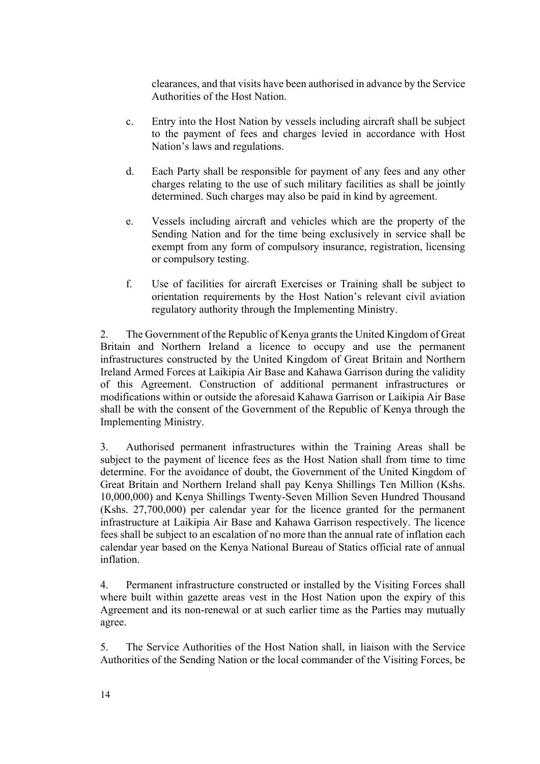clearances, and that visits have been authorised in advance by the Service Authorities of the Host Nation.

- c. Entry into the Host Nation by vessels including aircraft shall be subject to the payment of fees and charges levied in accordance with Host Nation's laws and regulations.
- d. Each Party shall be responsible for payment of any fees and any other charges relating to the use of such military facilities as shall be jointly determined. Such charges may also be paid in kind by agreement.
- e. Vessels including aircraft and vehicles which are the property of the Sending Nation and for the time being exclusively in service shall be exempt from any form of compulsory insurance, registration, licensing or compulsory testing.
- f. Use of facilities for aircraft Exercises or Training shall be subject to orientation requirements by the Host Nation's relevant civil aviation regulatory authority through the Implementing Ministry.

2. The Government of the Republic of Kenya grants the United Kingdom of Great Britain and Northern Ireland a licence to occupy and use the permanent infrastructures constructed by the United Kingdom of Great Britain and Northern Ireland Armed Forces at Laikipia Air Base and Kahawa Garrison during the validity of this Agreement. Construction of additional permanent infrastructures or modifications within or outside the aforesaid Kahawa Garrison or Laikipia Air Base shall be with the consent of the Government of the Republic of Kenya through the Implementing Ministry.

3. Authorised permanent infrastructures within the Training Areas shall be subject to the payment of licence fees as the Host Nation shall from time to time determine. For the avoidance of doubt, the Government of the United Kingdom of Great Britain and Northern Ireland shall pay Kenya Shillings Ten Million (Kshs. 10,000,000) and Kenya Shillings Twenty-Seven Million Seven Hundred Thousand (Kshs. 27,700,000) per calendar year for the licence granted for the permanent infrastructure at Laikipia Air Base and Kahawa Garrison respectively. The licence fees shall be subject to an escalation of no more than the annual rate of inflation each calendar year based on the Kenya National Bureau of Statics official rate of annual inflation.

4. Permanent infrastructure constructed or installed by the Visiting Forces shall where built within gazette areas vest in the Host Nation upon the expiry of this Agreement and its non-renewal or at such earlier time as the Parties may mutually agree.

5. The Service Authorities of the Host Nation shall, in liaison with the Service Authorities of the Sending Nation or the local commander of the Visiting Forces, be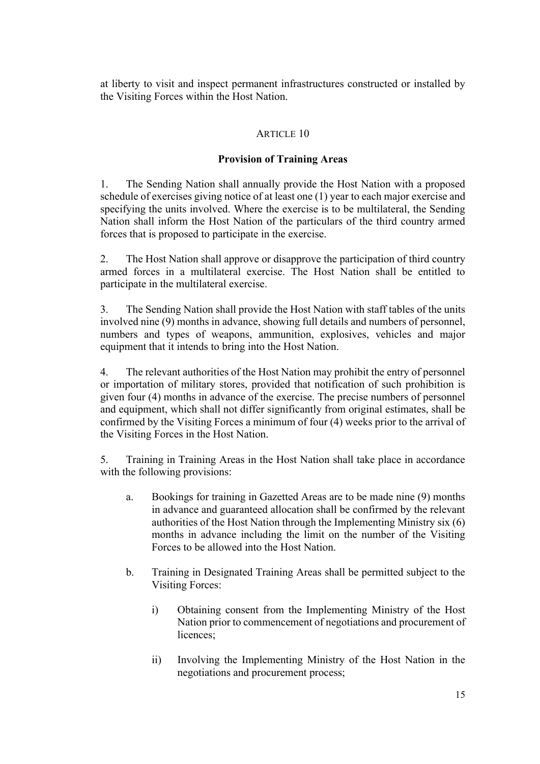at liberty to visit and inspect permanent infrastructures constructed or installed by the Visiting Forces within the Host Nation.

# ARTICLE 10

# **Provision of Training Areas**

1. The Sending Nation shall annually provide the Host Nation with a proposed schedule of exercises giving notice of at least one (1) year to each major exercise and specifying the units involved. Where the exercise is to be multilateral, the Sending Nation shall inform the Host Nation of the particulars of the third country armed forces that is proposed to participate in the exercise.

2. The Host Nation shall approve or disapprove the participation of third country armed forces in a multilateral exercise. The Host Nation shall be entitled to participate in the multilateral exercise.

3. The Sending Nation shall provide the Host Nation with staff tables of the units involved nine (9) months in advance, showing full details and numbers of personnel, numbers and types of weapons, ammunition, explosives, vehicles and major equipment that it intends to bring into the Host Nation.

4. The relevant authorities of the Host Nation may prohibit the entry of personnel or importation of military stores, provided that notification of such prohibition is given four (4) months in advance of the exercise. The precise numbers of personnel and equipment, which shall not differ significantly from original estimates, shall be confirmed by the Visiting Forces a minimum of four (4) weeks prior to the arrival of the Visiting Forces in the Host Nation.

5. Training in Training Areas in the Host Nation shall take place in accordance with the following provisions:

- a. Bookings for training in Gazetted Areas are to be made nine (9) months in advance and guaranteed allocation shall be confirmed by the relevant authorities of the Host Nation through the Implementing Ministry six (6) months in advance including the limit on the number of the Visiting Forces to be allowed into the Host Nation.
- b. Training in Designated Training Areas shall be permitted subject to the Visiting Forces:
	- i) Obtaining consent from the Implementing Ministry of the Host Nation prior to commencement of negotiations and procurement of licences<sup>.</sup>
	- ii) Involving the Implementing Ministry of the Host Nation in the negotiations and procurement process;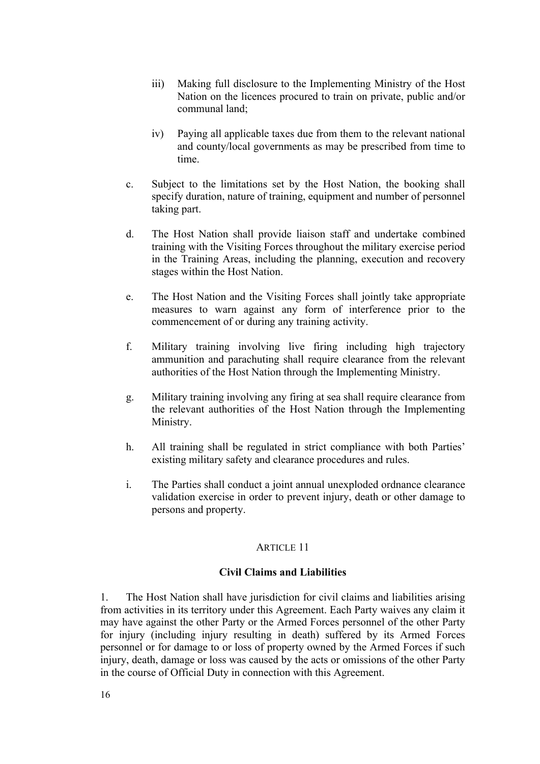- iii) Making full disclosure to the Implementing Ministry of the Host Nation on the licences procured to train on private, public and/or communal land;
- iv) Paying all applicable taxes due from them to the relevant national and county/local governments as may be prescribed from time to time.
- c. Subject to the limitations set by the Host Nation, the booking shall specify duration, nature of training, equipment and number of personnel taking part.
- d. The Host Nation shall provide liaison staff and undertake combined training with the Visiting Forces throughout the military exercise period in the Training Areas, including the planning, execution and recovery stages within the Host Nation.
- e. The Host Nation and the Visiting Forces shall jointly take appropriate measures to warn against any form of interference prior to the commencement of or during any training activity.
- f. Military training involving live firing including high trajectory ammunition and parachuting shall require clearance from the relevant authorities of the Host Nation through the Implementing Ministry.
- g. Military training involving any firing at sea shall require clearance from the relevant authorities of the Host Nation through the Implementing Ministry.
- h. All training shall be regulated in strict compliance with both Parties' existing military safety and clearance procedures and rules.
- i. The Parties shall conduct a joint annual unexploded ordnance clearance validation exercise in order to prevent injury, death or other damage to persons and property.

# **Civil Claims and Liabilities**

1. The Host Nation shall have jurisdiction for civil claims and liabilities arising from activities in its territory under this Agreement. Each Party waives any claim it may have against the other Party or the Armed Forces personnel of the other Party for injury (including injury resulting in death) suffered by its Armed Forces personnel or for damage to or loss of property owned by the Armed Forces if such injury, death, damage or loss was caused by the acts or omissions of the other Party in the course of Official Duty in connection with this Agreement.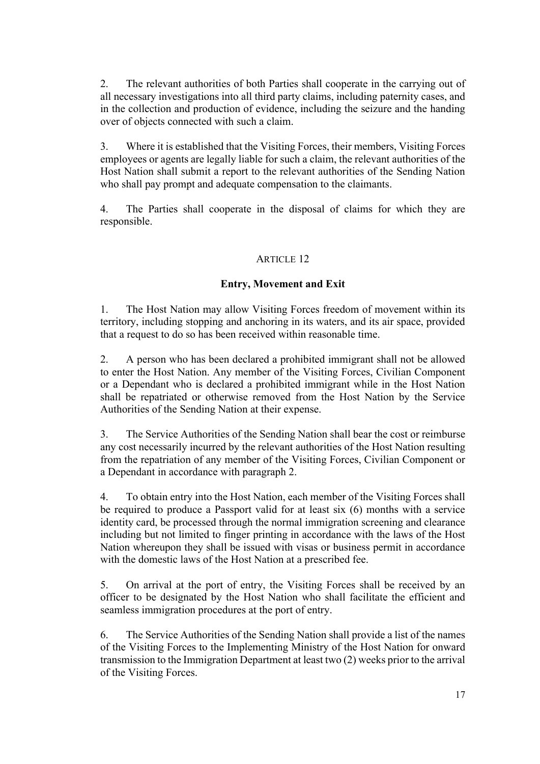2. The relevant authorities of both Parties shall cooperate in the carrying out of all necessary investigations into all third party claims, including paternity cases, and in the collection and production of evidence, including the seizure and the handing over of objects connected with such a claim.

3. Where it is established that the Visiting Forces, their members, Visiting Forces employees or agents are legally liable for such a claim, the relevant authorities of the Host Nation shall submit a report to the relevant authorities of the Sending Nation who shall pay prompt and adequate compensation to the claimants.

4. The Parties shall cooperate in the disposal of claims for which they are responsible.

# ARTICLE 12

# **Entry, Movement and Exit**

1. The Host Nation may allow Visiting Forces freedom of movement within its territory, including stopping and anchoring in its waters, and its air space, provided that a request to do so has been received within reasonable time.

2. A person who has been declared a prohibited immigrant shall not be allowed to enter the Host Nation. Any member of the Visiting Forces, Civilian Component or a Dependant who is declared a prohibited immigrant while in the Host Nation shall be repatriated or otherwise removed from the Host Nation by the Service Authorities of the Sending Nation at their expense.

3. The Service Authorities of the Sending Nation shall bear the cost or reimburse any cost necessarily incurred by the relevant authorities of the Host Nation resulting from the repatriation of any member of the Visiting Forces, Civilian Component or a Dependant in accordance with paragraph 2.

4. To obtain entry into the Host Nation, each member of the Visiting Forces shall be required to produce a Passport valid for at least six (6) months with a service identity card, be processed through the normal immigration screening and clearance including but not limited to finger printing in accordance with the laws of the Host Nation whereupon they shall be issued with visas or business permit in accordance with the domestic laws of the Host Nation at a prescribed fee.

5. On arrival at the port of entry, the Visiting Forces shall be received by an officer to be designated by the Host Nation who shall facilitate the efficient and seamless immigration procedures at the port of entry.

6. The Service Authorities of the Sending Nation shall provide a list of the names of the Visiting Forces to the Implementing Ministry of the Host Nation for onward transmission to the Immigration Department at least two (2) weeks prior to the arrival of the Visiting Forces.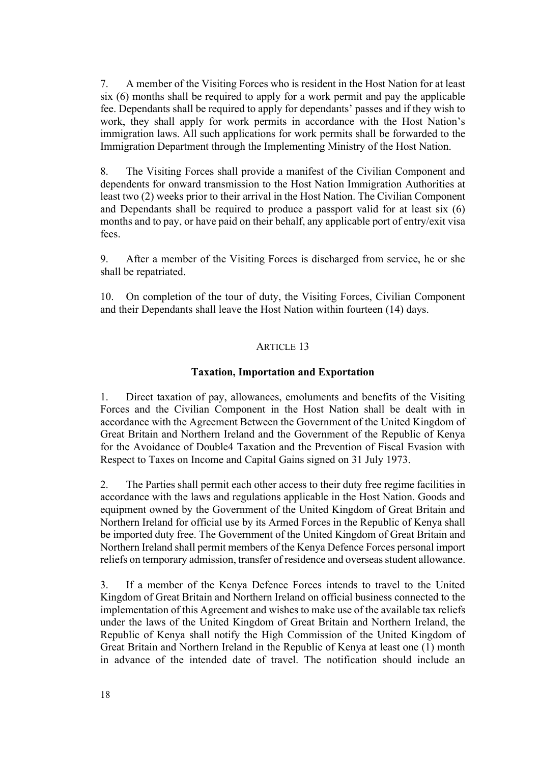7. A member of the Visiting Forces who is resident in the Host Nation for at least six (6) months shall be required to apply for a work permit and pay the applicable fee. Dependants shall be required to apply for dependants' passes and if they wish to work, they shall apply for work permits in accordance with the Host Nation's immigration laws. All such applications for work permits shall be forwarded to the Immigration Department through the Implementing Ministry of the Host Nation.

8. The Visiting Forces shall provide a manifest of the Civilian Component and dependents for onward transmission to the Host Nation Immigration Authorities at least two (2) weeks prior to their arrival in the Host Nation. The Civilian Component and Dependants shall be required to produce a passport valid for at least six (6) months and to pay, or have paid on their behalf, any applicable port of entry/exit visa fees.

9. After a member of the Visiting Forces is discharged from service, he or she shall be repatriated.

10. On completion of the tour of duty, the Visiting Forces, Civilian Component and their Dependants shall leave the Host Nation within fourteen (14) days.

# ARTICLE 13

# **Taxation, Importation and Exportation**

1. Direct taxation of pay, allowances, emoluments and benefits of the Visiting Forces and the Civilian Component in the Host Nation shall be dealt with in accordance with the Agreement Between the Government of the United Kingdom of Great Britain and Northern Ireland and the Government of the Republic of Kenya for the Avoidance of Double4 Taxation and the Prevention of Fiscal Evasion with Respect to Taxes on Income and Capital Gains signed on 31 July 1973.

2. The Parties shall permit each other access to their duty free regime facilities in accordance with the laws and regulations applicable in the Host Nation. Goods and equipment owned by the Government of the United Kingdom of Great Britain and Northern Ireland for official use by its Armed Forces in the Republic of Kenya shall be imported duty free. The Government of the United Kingdom of Great Britain and Northern Ireland shall permit members of the Kenya Defence Forces personal import reliefs on temporary admission, transfer of residence and overseas student allowance.

3. If a member of the Kenya Defence Forces intends to travel to the United Kingdom of Great Britain and Northern Ireland on official business connected to the implementation of this Agreement and wishes to make use of the available tax reliefs under the laws of the United Kingdom of Great Britain and Northern Ireland, the Republic of Kenya shall notify the High Commission of the United Kingdom of Great Britain and Northern Ireland in the Republic of Kenya at least one (1) month in advance of the intended date of travel. The notification should include an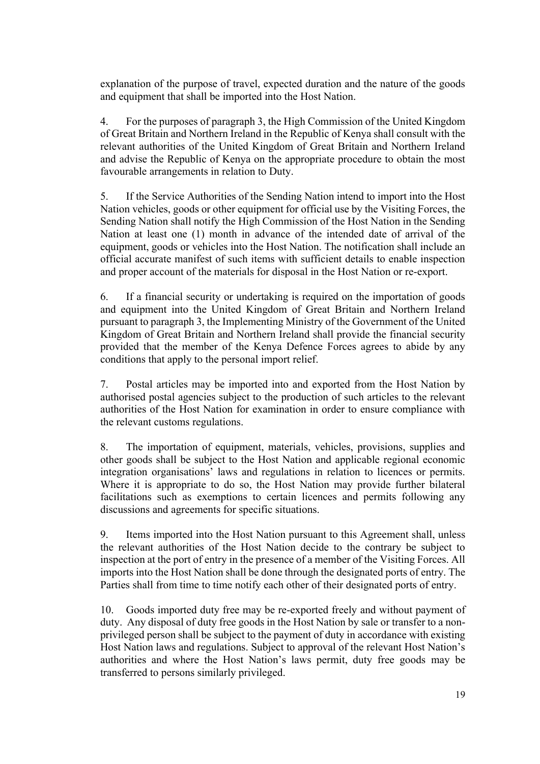explanation of the purpose of travel, expected duration and the nature of the goods and equipment that shall be imported into the Host Nation.

4. For the purposes of paragraph 3, the High Commission of the United Kingdom of Great Britain and Northern Ireland in the Republic of Kenya shall consult with the relevant authorities of the United Kingdom of Great Britain and Northern Ireland and advise the Republic of Kenya on the appropriate procedure to obtain the most favourable arrangements in relation to Duty.

5. If the Service Authorities of the Sending Nation intend to import into the Host Nation vehicles, goods or other equipment for official use by the Visiting Forces, the Sending Nation shall notify the High Commission of the Host Nation in the Sending Nation at least one (1) month in advance of the intended date of arrival of the equipment, goods or vehicles into the Host Nation. The notification shall include an official accurate manifest of such items with sufficient details to enable inspection and proper account of the materials for disposal in the Host Nation or re-export.

6. If a financial security or undertaking is required on the importation of goods and equipment into the United Kingdom of Great Britain and Northern Ireland pursuant to paragraph 3, the Implementing Ministry of the Government of the United Kingdom of Great Britain and Northern Ireland shall provide the financial security provided that the member of the Kenya Defence Forces agrees to abide by any conditions that apply to the personal import relief.

7. Postal articles may be imported into and exported from the Host Nation by authorised postal agencies subject to the production of such articles to the relevant authorities of the Host Nation for examination in order to ensure compliance with the relevant customs regulations.

8. The importation of equipment, materials, vehicles, provisions, supplies and other goods shall be subject to the Host Nation and applicable regional economic integration organisations' laws and regulations in relation to licences or permits. Where it is appropriate to do so, the Host Nation may provide further bilateral facilitations such as exemptions to certain licences and permits following any discussions and agreements for specific situations.

9. Items imported into the Host Nation pursuant to this Agreement shall, unless the relevant authorities of the Host Nation decide to the contrary be subject to inspection at the port of entry in the presence of a member of the Visiting Forces. All imports into the Host Nation shall be done through the designated ports of entry. The Parties shall from time to time notify each other of their designated ports of entry.

10. Goods imported duty free may be re-exported freely and without payment of duty. Any disposal of duty free goods in the Host Nation by sale or transfer to a nonprivileged person shall be subject to the payment of duty in accordance with existing Host Nation laws and regulations. Subject to approval of the relevant Host Nation's authorities and where the Host Nation's laws permit, duty free goods may be transferred to persons similarly privileged.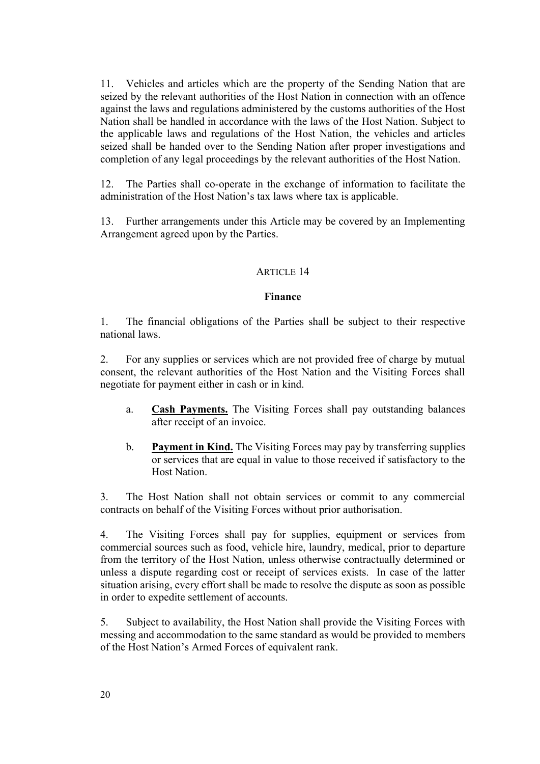11. Vehicles and articles which are the property of the Sending Nation that are seized by the relevant authorities of the Host Nation in connection with an offence against the laws and regulations administered by the customs authorities of the Host Nation shall be handled in accordance with the laws of the Host Nation. Subject to the applicable laws and regulations of the Host Nation, the vehicles and articles seized shall be handed over to the Sending Nation after proper investigations and completion of any legal proceedings by the relevant authorities of the Host Nation.

12. The Parties shall co-operate in the exchange of information to facilitate the administration of the Host Nation's tax laws where tax is applicable.

13. Further arrangements under this Article may be covered by an Implementing Arrangement agreed upon by the Parties.

#### ARTICLE 14

# **Finance**

1. The financial obligations of the Parties shall be subject to their respective national laws.

2. For any supplies or services which are not provided free of charge by mutual consent, the relevant authorities of the Host Nation and the Visiting Forces shall negotiate for payment either in cash or in kind.

- a. **Cash Payments.** The Visiting Forces shall pay outstanding balances after receipt of an invoice.
- b. **Payment in Kind.** The Visiting Forces may pay by transferring supplies or services that are equal in value to those received if satisfactory to the Host Nation.

3. The Host Nation shall not obtain services or commit to any commercial contracts on behalf of the Visiting Forces without prior authorisation.

4. The Visiting Forces shall pay for supplies, equipment or services from commercial sources such as food, vehicle hire, laundry, medical, prior to departure from the territory of the Host Nation, unless otherwise contractually determined or unless a dispute regarding cost or receipt of services exists. In case of the latter situation arising, every effort shall be made to resolve the dispute as soon as possible in order to expedite settlement of accounts.

5. Subject to availability, the Host Nation shall provide the Visiting Forces with messing and accommodation to the same standard as would be provided to members of the Host Nation's Armed Forces of equivalent rank.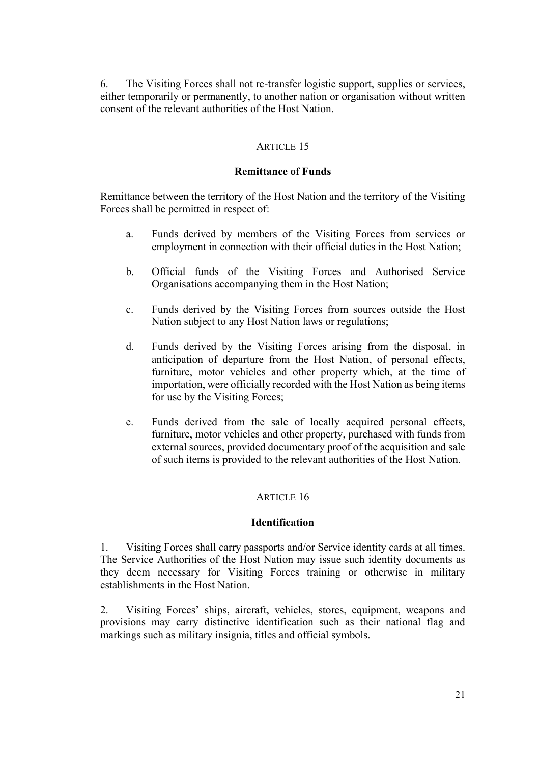6. The Visiting Forces shall not re-transfer logistic support, supplies or services, either temporarily or permanently, to another nation or organisation without written consent of the relevant authorities of the Host Nation.

# ARTICLE 15

#### **Remittance of Funds**

Remittance between the territory of the Host Nation and the territory of the Visiting Forces shall be permitted in respect of:

- a. Funds derived by members of the Visiting Forces from services or employment in connection with their official duties in the Host Nation;
- b. Official funds of the Visiting Forces and Authorised Service Organisations accompanying them in the Host Nation;
- c. Funds derived by the Visiting Forces from sources outside the Host Nation subject to any Host Nation laws or regulations;
- d. Funds derived by the Visiting Forces arising from the disposal, in anticipation of departure from the Host Nation, of personal effects, furniture, motor vehicles and other property which, at the time of importation, were officially recorded with the Host Nation as being items for use by the Visiting Forces;
- e. Funds derived from the sale of locally acquired personal effects, furniture, motor vehicles and other property, purchased with funds from external sources, provided documentary proof of the acquisition and sale of such items is provided to the relevant authorities of the Host Nation.

#### ARTICLE 16

# **Identification**

1. Visiting Forces shall carry passports and/or Service identity cards at all times. The Service Authorities of the Host Nation may issue such identity documents as they deem necessary for Visiting Forces training or otherwise in military establishments in the Host Nation.

2. Visiting Forces' ships, aircraft, vehicles, stores, equipment, weapons and provisions may carry distinctive identification such as their national flag and markings such as military insignia, titles and official symbols.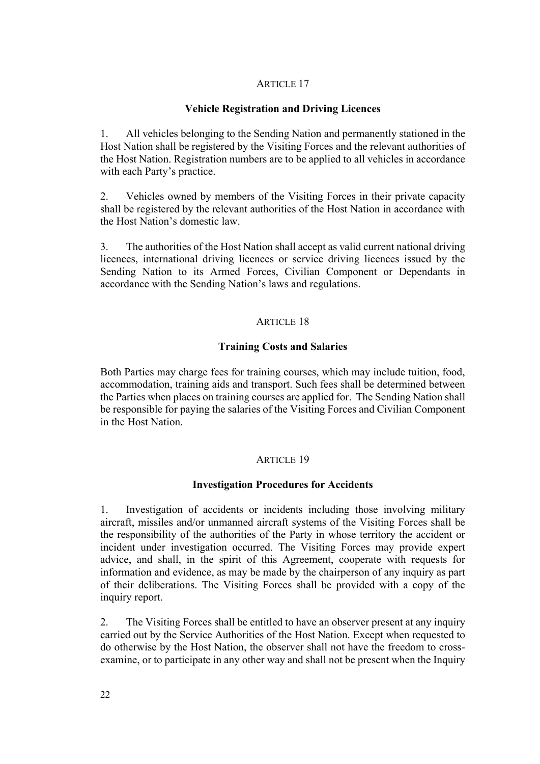# **Vehicle Registration and Driving Licences**

1. All vehicles belonging to the Sending Nation and permanently stationed in the Host Nation shall be registered by the Visiting Forces and the relevant authorities of the Host Nation. Registration numbers are to be applied to all vehicles in accordance with each Party's practice.

2. Vehicles owned by members of the Visiting Forces in their private capacity shall be registered by the relevant authorities of the Host Nation in accordance with the Host Nation's domestic law.

3. The authorities of the Host Nation shall accept as valid current national driving licences, international driving licences or service driving licences issued by the Sending Nation to its Armed Forces, Civilian Component or Dependants in accordance with the Sending Nation's laws and regulations.

#### ARTICLE 18

#### **Training Costs and Salaries**

Both Parties may charge fees for training courses, which may include tuition, food, accommodation, training aids and transport. Such fees shall be determined between the Parties when places on training courses are applied for. The Sending Nation shall be responsible for paying the salaries of the Visiting Forces and Civilian Component in the Host Nation.

#### ARTICLE 19

#### **Investigation Procedures for Accidents**

1. Investigation of accidents or incidents including those involving military aircraft, missiles and/or unmanned aircraft systems of the Visiting Forces shall be the responsibility of the authorities of the Party in whose territory the accident or incident under investigation occurred. The Visiting Forces may provide expert advice, and shall, in the spirit of this Agreement, cooperate with requests for information and evidence, as may be made by the chairperson of any inquiry as part of their deliberations. The Visiting Forces shall be provided with a copy of the inquiry report.

2. The Visiting Forces shall be entitled to have an observer present at any inquiry carried out by the Service Authorities of the Host Nation. Except when requested to do otherwise by the Host Nation, the observer shall not have the freedom to crossexamine, or to participate in any other way and shall not be present when the Inquiry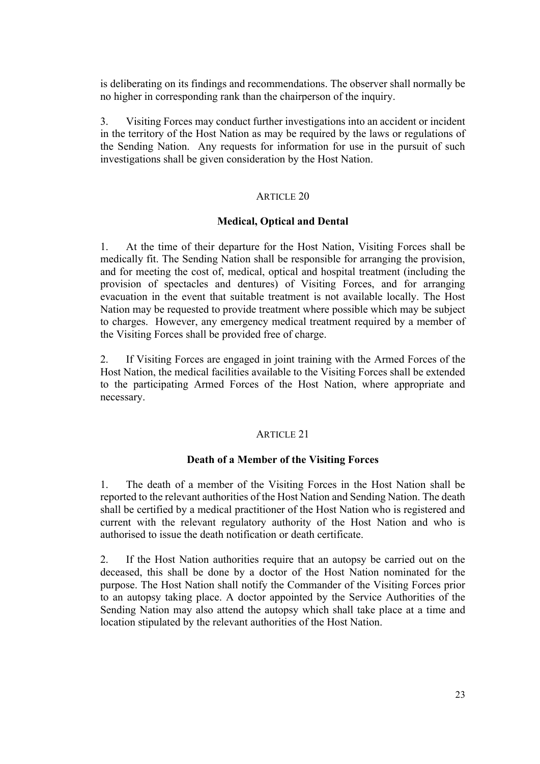is deliberating on its findings and recommendations. The observer shall normally be no higher in corresponding rank than the chairperson of the inquiry.

3. Visiting Forces may conduct further investigations into an accident or incident in the territory of the Host Nation as may be required by the laws or regulations of the Sending Nation. Any requests for information for use in the pursuit of such investigations shall be given consideration by the Host Nation.

# ARTICLE 20

# **Medical, Optical and Dental**

1. At the time of their departure for the Host Nation, Visiting Forces shall be medically fit. The Sending Nation shall be responsible for arranging the provision, and for meeting the cost of, medical, optical and hospital treatment (including the provision of spectacles and dentures) of Visiting Forces, and for arranging evacuation in the event that suitable treatment is not available locally. The Host Nation may be requested to provide treatment where possible which may be subject to charges. However, any emergency medical treatment required by a member of the Visiting Forces shall be provided free of charge.

2. If Visiting Forces are engaged in joint training with the Armed Forces of the Host Nation, the medical facilities available to the Visiting Forces shall be extended to the participating Armed Forces of the Host Nation, where appropriate and necessary.

# ARTICLE 21

# **Death of a Member of the Visiting Forces**

1. The death of a member of the Visiting Forces in the Host Nation shall be reported to the relevant authorities of the Host Nation and Sending Nation. The death shall be certified by a medical practitioner of the Host Nation who is registered and current with the relevant regulatory authority of the Host Nation and who is authorised to issue the death notification or death certificate.

2. If the Host Nation authorities require that an autopsy be carried out on the deceased, this shall be done by a doctor of the Host Nation nominated for the purpose. The Host Nation shall notify the Commander of the Visiting Forces prior to an autopsy taking place. A doctor appointed by the Service Authorities of the Sending Nation may also attend the autopsy which shall take place at a time and location stipulated by the relevant authorities of the Host Nation.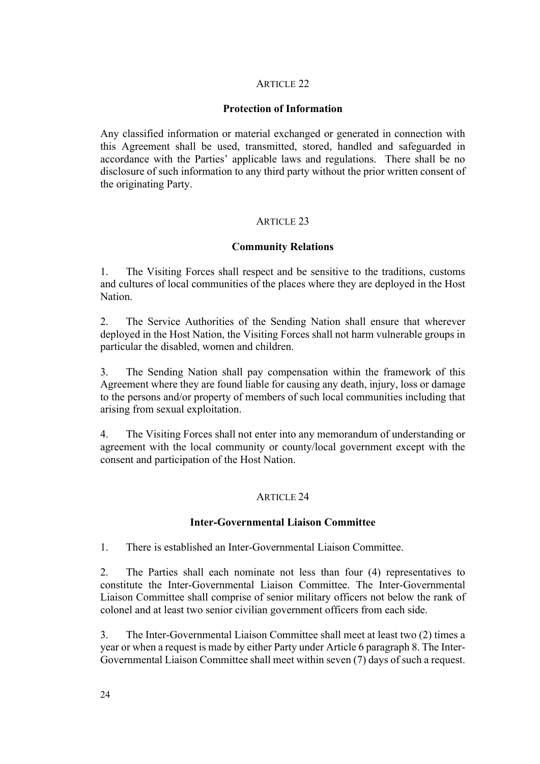# **Protection of Information**

Any classified information or material exchanged or generated in connection with this Agreement shall be used, transmitted, stored, handled and safeguarded in accordance with the Parties' applicable laws and regulations. There shall be no disclosure of such information to any third party without the prior written consent of the originating Party.

# ARTICLE 23

# **Community Relations**

1. The Visiting Forces shall respect and be sensitive to the traditions, customs and cultures of local communities of the places where they are deployed in the Host **Nation** 

2. The Service Authorities of the Sending Nation shall ensure that wherever deployed in the Host Nation, the Visiting Forces shall not harm vulnerable groups in particular the disabled, women and children.

3. The Sending Nation shall pay compensation within the framework of this Agreement where they are found liable for causing any death, injury, loss or damage to the persons and/or property of members of such local communities including that arising from sexual exploitation.

4. The Visiting Forces shall not enter into any memorandum of understanding or agreement with the local community or county/local government except with the consent and participation of the Host Nation.

# ARTICLE 24

# **Inter-Governmental Liaison Committee**

1. There is established an Inter-Governmental Liaison Committee.

2. The Parties shall each nominate not less than four (4) representatives to constitute the Inter-Governmental Liaison Committee. The Inter-Governmental Liaison Committee shall comprise of senior military officers not below the rank of colonel and at least two senior civilian government officers from each side.

3. The Inter-Governmental Liaison Committee shall meet at least two (2) times a year or when a request is made by either Party under Article 6 paragraph 8. The Inter-Governmental Liaison Committee shall meet within seven (7) days of such a request.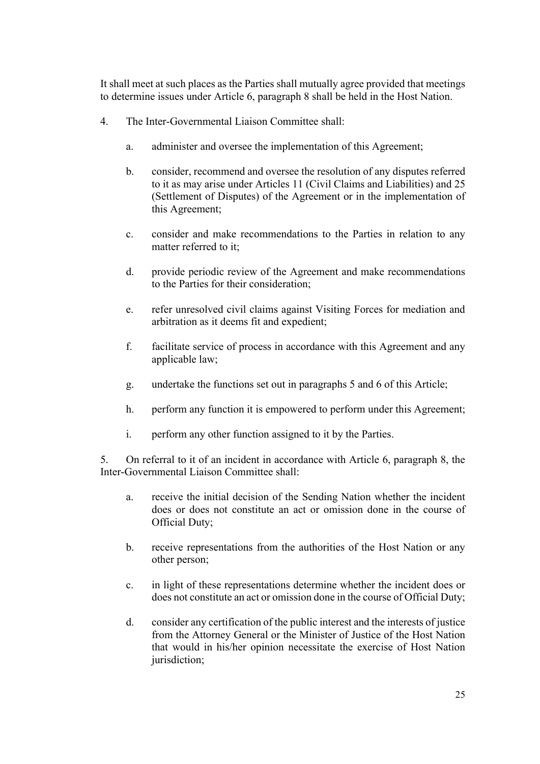It shall meet at such places as the Parties shall mutually agree provided that meetings to determine issues under Article 6, paragraph 8 shall be held in the Host Nation.

- 4. The Inter-Governmental Liaison Committee shall:
	- a. administer and oversee the implementation of this Agreement;
	- b. consider, recommend and oversee the resolution of any disputes referred to it as may arise under Articles 11 (Civil Claims and Liabilities) and 25 (Settlement of Disputes) of the Agreement or in the implementation of this Agreement;
	- c. consider and make recommendations to the Parties in relation to any matter referred to it;
	- d. provide periodic review of the Agreement and make recommendations to the Parties for their consideration;
	- e. refer unresolved civil claims against Visiting Forces for mediation and arbitration as it deems fit and expedient;
	- f. facilitate service of process in accordance with this Agreement and any applicable law;
	- g. undertake the functions set out in paragraphs 5 and 6 of this Article;
	- h. perform any function it is empowered to perform under this Agreement;
	- i. perform any other function assigned to it by the Parties.

5. On referral to it of an incident in accordance with Article 6, paragraph 8, the Inter-Governmental Liaison Committee shall:

- a. receive the initial decision of the Sending Nation whether the incident does or does not constitute an act or omission done in the course of Official Duty;
- b. receive representations from the authorities of the Host Nation or any other person;
- c. in light of these representations determine whether the incident does or does not constitute an act or omission done in the course of Official Duty;
- d. consider any certification of the public interest and the interests of justice from the Attorney General or the Minister of Justice of the Host Nation that would in his/her opinion necessitate the exercise of Host Nation jurisdiction;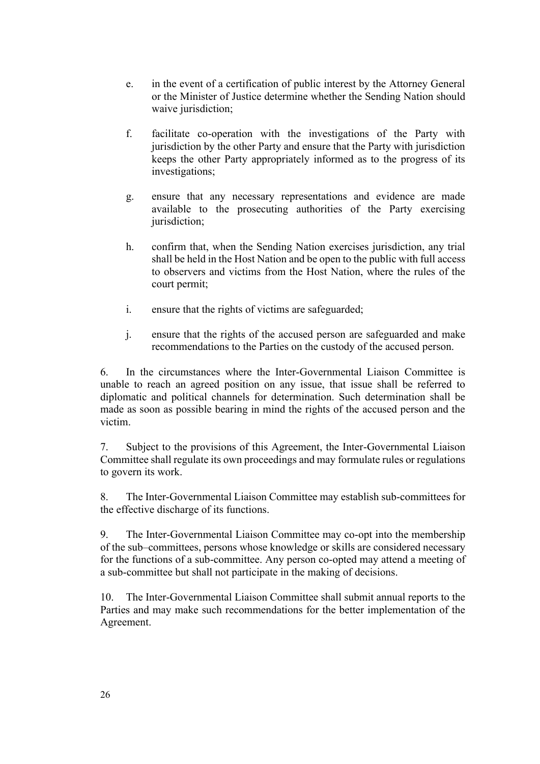- e. in the event of a certification of public interest by the Attorney General or the Minister of Justice determine whether the Sending Nation should waive jurisdiction;
- f. facilitate co-operation with the investigations of the Party with jurisdiction by the other Party and ensure that the Party with jurisdiction keeps the other Party appropriately informed as to the progress of its investigations;
- g. ensure that any necessary representations and evidence are made available to the prosecuting authorities of the Party exercising jurisdiction;
- h. confirm that, when the Sending Nation exercises jurisdiction, any trial shall be held in the Host Nation and be open to the public with full access to observers and victims from the Host Nation, where the rules of the court permit;
- i. ensure that the rights of victims are safeguarded;
- j. ensure that the rights of the accused person are safeguarded and make recommendations to the Parties on the custody of the accused person.

6. In the circumstances where the Inter-Governmental Liaison Committee is unable to reach an agreed position on any issue, that issue shall be referred to diplomatic and political channels for determination. Such determination shall be made as soon as possible bearing in mind the rights of the accused person and the victim.

7. Subject to the provisions of this Agreement, the Inter-Governmental Liaison Committee shall regulate its own proceedings and may formulate rules or regulations to govern its work.

8. The Inter-Governmental Liaison Committee may establish sub-committees for the effective discharge of its functions.

9. The Inter-Governmental Liaison Committee may co-opt into the membership of the sub–committees, persons whose knowledge or skills are considered necessary for the functions of a sub-committee. Any person co-opted may attend a meeting of a sub-committee but shall not participate in the making of decisions.

10. The Inter-Governmental Liaison Committee shall submit annual reports to the Parties and may make such recommendations for the better implementation of the Agreement.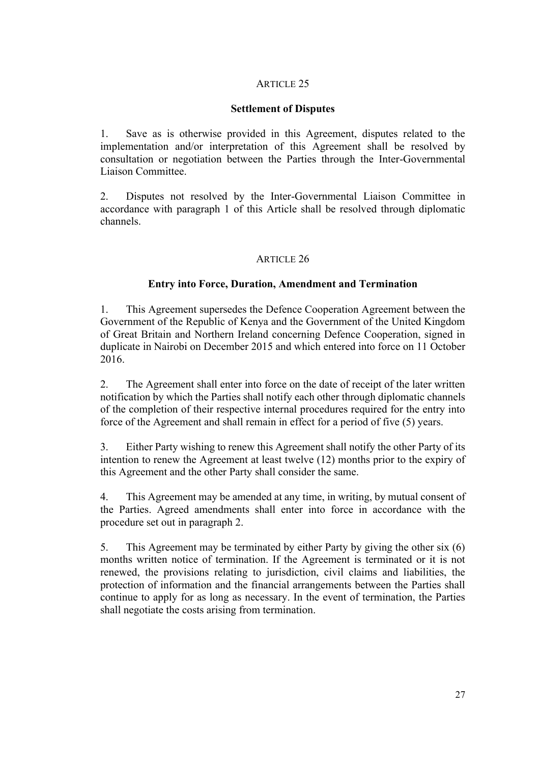# **Settlement of Disputes**

1. Save as is otherwise provided in this Agreement, disputes related to the implementation and/or interpretation of this Agreement shall be resolved by consultation or negotiation between the Parties through the Inter-Governmental Liaison Committee.

2. Disputes not resolved by the Inter-Governmental Liaison Committee in accordance with paragraph 1 of this Article shall be resolved through diplomatic channels.

# ARTICLE 26

# **Entry into Force, Duration, Amendment and Termination**

1. This Agreement supersedes the Defence Cooperation Agreement between the Government of the Republic of Kenya and the Government of the United Kingdom of Great Britain and Northern Ireland concerning Defence Cooperation, signed in duplicate in Nairobi on December 2015 and which entered into force on 11 October 2016.

2. The Agreement shall enter into force on the date of receipt of the later written notification by which the Parties shall notify each other through diplomatic channels of the completion of their respective internal procedures required for the entry into force of the Agreement and shall remain in effect for a period of five (5) years.

3. Either Party wishing to renew this Agreement shall notify the other Party of its intention to renew the Agreement at least twelve (12) months prior to the expiry of this Agreement and the other Party shall consider the same.

4. This Agreement may be amended at any time, in writing, by mutual consent of the Parties. Agreed amendments shall enter into force in accordance with the procedure set out in paragraph 2.

5. This Agreement may be terminated by either Party by giving the other six (6) months written notice of termination. If the Agreement is terminated or it is not renewed, the provisions relating to jurisdiction, civil claims and liabilities, the protection of information and the financial arrangements between the Parties shall continue to apply for as long as necessary. In the event of termination, the Parties shall negotiate the costs arising from termination.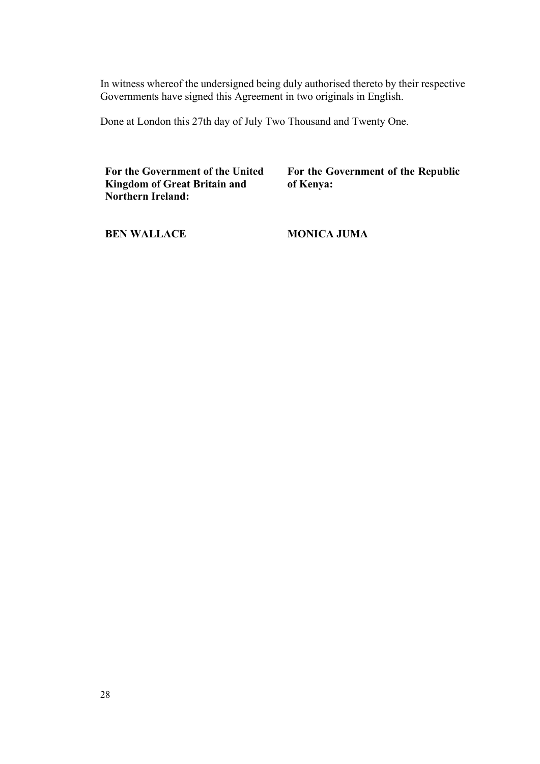In witness whereof the undersigned being duly authorised thereto by their respective Governments have signed this Agreement in two originals in English.

Done at London this 27th day of July Two Thousand and Twenty One.

**For the Government of the United Kingdom of Great Britain and Northern Ireland:**

**For the Government of the Republic of Kenya:**

**BEN WALLACE**

**MONICA JUMA**